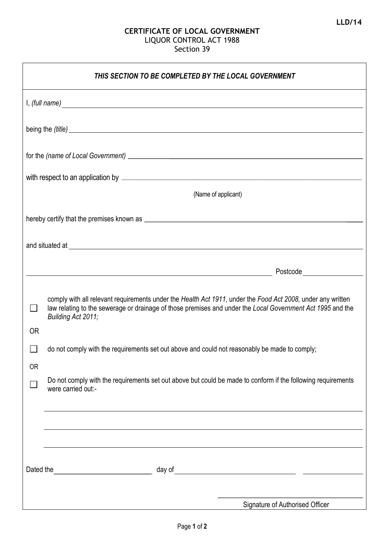## **CERTIFICATE OF LOCAL GOVERNMENT**  LIQUOR CONTROL ACT 1988 Section 39

| THIS SECTION TO BE COMPLETED BY THE LOCAL GOVERNMENT                                                                                                                                                                                 |                                                                                                                                                                                                                                                 |  |
|--------------------------------------------------------------------------------------------------------------------------------------------------------------------------------------------------------------------------------------|-------------------------------------------------------------------------------------------------------------------------------------------------------------------------------------------------------------------------------------------------|--|
| I, (full name) expression and the set of the set of the set of the set of the set of the set of the set of the set of the set of the set of the set of the set of the set of the set of the set of the set of the set of the s       |                                                                                                                                                                                                                                                 |  |
| being the (title) <u>example and the contract of the contract of the contract of the contract of the contract of the contract of the contract of the contract of the contract of the contract of the contract of the contract of</u> |                                                                                                                                                                                                                                                 |  |
|                                                                                                                                                                                                                                      |                                                                                                                                                                                                                                                 |  |
|                                                                                                                                                                                                                                      |                                                                                                                                                                                                                                                 |  |
|                                                                                                                                                                                                                                      | (Name of applicant)                                                                                                                                                                                                                             |  |
|                                                                                                                                                                                                                                      |                                                                                                                                                                                                                                                 |  |
|                                                                                                                                                                                                                                      |                                                                                                                                                                                                                                                 |  |
|                                                                                                                                                                                                                                      |                                                                                                                                                                                                                                                 |  |
|                                                                                                                                                                                                                                      | comply with all relevant requirements under the Health Act 1911, under the Food Act 2008, under any written<br>law relating to the sewerage or drainage of those premises and under the Local Government Act 1995 and the<br>Building Act 2011; |  |
| <b>OR</b>                                                                                                                                                                                                                            |                                                                                                                                                                                                                                                 |  |
| <b>OR</b>                                                                                                                                                                                                                            | do not comply with the requirements set out above and could not reasonably be made to comply;                                                                                                                                                   |  |
|                                                                                                                                                                                                                                      | Do not comply with the requirements set out above but could be made to conform if the following requirements<br>were carried out:-                                                                                                              |  |
|                                                                                                                                                                                                                                      |                                                                                                                                                                                                                                                 |  |
|                                                                                                                                                                                                                                      |                                                                                                                                                                                                                                                 |  |
| Dated the                                                                                                                                                                                                                            | <u> 1989 - Johann Barn, mars ann an t-Aonaich an t-Aonaich an t-Aonaich an t-Aonaich an t-Aonaich an t-Aonaich an</u>                                                                                                                           |  |
|                                                                                                                                                                                                                                      |                                                                                                                                                                                                                                                 |  |
|                                                                                                                                                                                                                                      | Signature of Authorised Officer                                                                                                                                                                                                                 |  |